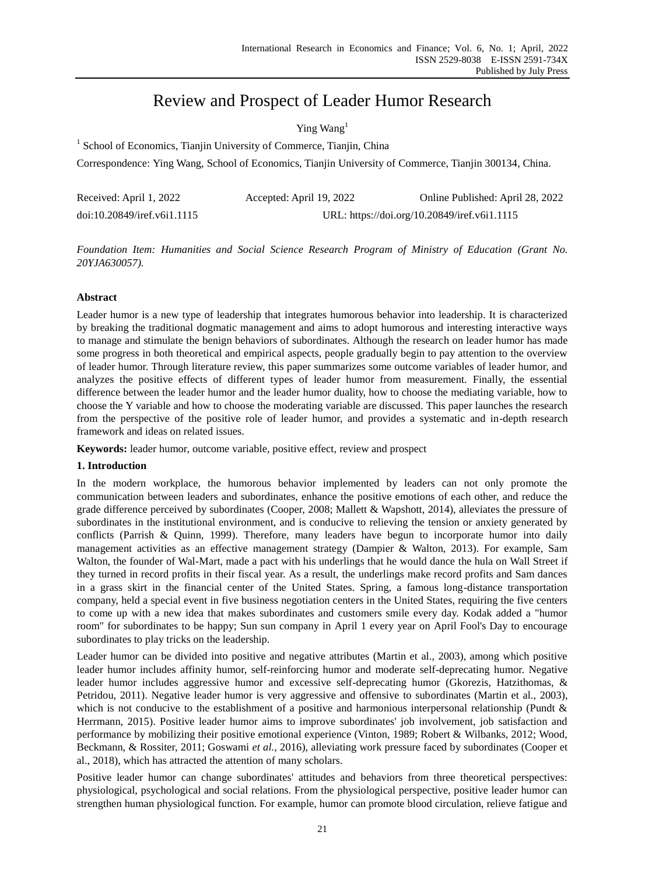# Review and Prospect of Leader Humor Research

# Ying Wang<sup>1</sup>

<sup>1</sup> School of Economics, Tianjin University of Commerce, Tianjin, China

Correspondence: Ying Wang, School of Economics, Tianjin University of Commerce, Tianjin 300134, China.

| Received: April 1, 2022     | Accepted: April 19, 2022                     | Online Published: April 28, 2022 |
|-----------------------------|----------------------------------------------|----------------------------------|
| doi:10.20849/iref.v6i1.1115 | URL: https://doi.org/10.20849/iref.v6i1.1115 |                                  |

*Foundation Item: Humanities and Social Science Research Program of Ministry of Education (Grant No. 20YJA630057).*

## **Abstract**

Leader humor is a new type of leadership that integrates humorous behavior into leadership. It is characterized by breaking the traditional dogmatic management and aims to adopt humorous and interesting interactive ways to manage and stimulate the benign behaviors of subordinates. Although the research on leader humor has made some progress in both theoretical and empirical aspects, people gradually begin to pay attention to the overview of leader humor. Through literature review, this paper summarizes some outcome variables of leader humor, and analyzes the positive effects of different types of leader humor from measurement. Finally, the essential difference between the leader humor and the leader humor duality, how to choose the mediating variable, how to choose the Y variable and how to choose the moderating variable are discussed. This paper launches the research from the perspective of the positive role of leader humor, and provides a systematic and in-depth research framework and ideas on related issues.

**Keywords:** leader humor, outcome variable, positive effect, review and prospect

### **1. Introduction**

In the modern workplace, the humorous behavior implemented by leaders can not only promote the communication between leaders and subordinates, enhance the positive emotions of each other, and reduce the grade difference perceived by subordinates (Cooper, 2008; Mallett & Wapshott, 2014), alleviates the pressure of subordinates in the institutional environment, and is conducive to relieving the tension or anxiety generated by conflicts (Parrish & Quinn, 1999). Therefore, many leaders have begun to incorporate humor into daily management activities as an effective management strategy (Dampier & Walton, 2013). For example, Sam Walton, the founder of Wal-Mart, made a pact with his underlings that he would dance the hula on Wall Street if they turned in record profits in their fiscal year. As a result, the underlings make record profits and Sam dances in a grass skirt in the financial center of the United States. Spring, a famous long-distance transportation company, held a special event in five business negotiation centers in the United States, requiring the five centers to come up with a new idea that makes subordinates and customers smile every day. Kodak added a "humor room" for subordinates to be happy; Sun sun company in April 1 every year on April Fool's Day to encourage subordinates to play tricks on the leadership.

Leader humor can be divided into positive and negative attributes (Martin et al., 2003), among which positive leader humor includes affinity humor, self-reinforcing humor and moderate self-deprecating humor. Negative leader humor includes aggressive humor and excessive self-deprecating humor (Gkorezis, Hatzithomas, & Petridou, 2011). Negative leader humor is very aggressive and offensive to subordinates (Martin et al., 2003), which is not conducive to the establishment of a positive and harmonious interpersonal relationship (Pundt  $\&$ Herrmann, 2015). Positive leader humor aims to improve subordinates' job involvement, job satisfaction and performance by mobilizing their positive emotional experience (Vinton, 1989; Robert & Wilbanks, 2012; Wood, Beckmann, & Rossiter, 2011; Goswami *et al.*, 2016), alleviating work pressure faced by subordinates (Cooper et al., 2018), which has attracted the attention of many scholars.

Positive leader humor can change subordinates' attitudes and behaviors from three theoretical perspectives: physiological, psychological and social relations. From the physiological perspective, positive leader humor can strengthen human physiological function. For example, humor can promote blood circulation, relieve fatigue and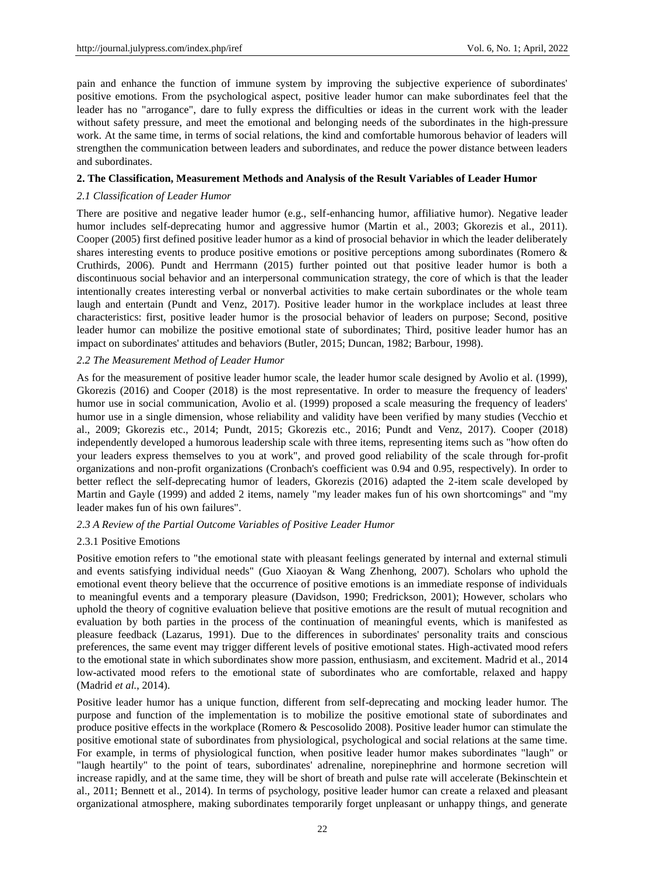pain and enhance the function of immune system by improving the subjective experience of subordinates' positive emotions. From the psychological aspect, positive leader humor can make subordinates feel that the leader has no "arrogance", dare to fully express the difficulties or ideas in the current work with the leader without safety pressure, and meet the emotional and belonging needs of the subordinates in the high-pressure work. At the same time, in terms of social relations, the kind and comfortable humorous behavior of leaders will strengthen the communication between leaders and subordinates, and reduce the power distance between leaders and subordinates.

#### **2. The Classification, Measurement Methods and Analysis of the Result Variables of Leader Humor**

#### *2.1 Classification of Leader Humor*

There are positive and negative leader humor (e.g., self-enhancing humor, affiliative humor). Negative leader humor includes self-deprecating humor and aggressive humor (Martin et al., 2003; Gkorezis et al., 2011). Cooper (2005) first defined positive leader humor as a kind of prosocial behavior in which the leader deliberately shares interesting events to produce positive emotions or positive perceptions among subordinates (Romero & Cruthirds, 2006). Pundt and Herrmann (2015) further pointed out that positive leader humor is both a discontinuous social behavior and an interpersonal communication strategy, the core of which is that the leader intentionally creates interesting verbal or nonverbal activities to make certain subordinates or the whole team laugh and entertain (Pundt and Venz, 2017). Positive leader humor in the workplace includes at least three characteristics: first, positive leader humor is the prosocial behavior of leaders on purpose; Second, positive leader humor can mobilize the positive emotional state of subordinates; Third, positive leader humor has an impact on subordinates' attitudes and behaviors (Butler, 2015; Duncan, 1982; Barbour, 1998).

### *2.2 The Measurement Method of Leader Humor*

As for the measurement of positive leader humor scale, the leader humor scale designed by Avolio et al. (1999), Gkorezis (2016) and Cooper (2018) is the most representative. In order to measure the frequency of leaders' humor use in social communication, Avolio et al. (1999) proposed a scale measuring the frequency of leaders' humor use in a single dimension, whose reliability and validity have been verified by many studies (Vecchio et al., 2009; Gkorezis etc., 2014; Pundt, 2015; Gkorezis etc., 2016; Pundt and Venz, 2017). Cooper (2018) independently developed a humorous leadership scale with three items, representing items such as "how often do your leaders express themselves to you at work", and proved good reliability of the scale through for-profit organizations and non-profit organizations (Cronbach's coefficient was 0.94 and 0.95, respectively). In order to better reflect the self-deprecating humor of leaders, Gkorezis (2016) adapted the 2-item scale developed by Martin and Gayle (1999) and added 2 items, namely "my leader makes fun of his own shortcomings" and "my leader makes fun of his own failures".

### *2.3 A Review of the Partial Outcome Variables of Positive Leader Humor*

### 2.3.1 Positive Emotions

Positive emotion refers to "the emotional state with pleasant feelings generated by internal and external stimuli and events satisfying individual needs" (Guo Xiaoyan & Wang Zhenhong, 2007). Scholars who uphold the emotional event theory believe that the occurrence of positive emotions is an immediate response of individuals to meaningful events and a temporary pleasure (Davidson, 1990; Fredrickson, 2001); However, scholars who uphold the theory of cognitive evaluation believe that positive emotions are the result of mutual recognition and evaluation by both parties in the process of the continuation of meaningful events, which is manifested as pleasure feedback (Lazarus, 1991). Due to the differences in subordinates' personality traits and conscious preferences, the same event may trigger different levels of positive emotional states. High-activated mood refers to the emotional state in which subordinates show more passion, enthusiasm, and excitement. Madrid et al., 2014 low-activated mood refers to the emotional state of subordinates who are comfortable, relaxed and happy (Madrid *et al.*, 2014).

Positive leader humor has a unique function, different from self-deprecating and mocking leader humor. The purpose and function of the implementation is to mobilize the positive emotional state of subordinates and produce positive effects in the workplace (Romero & Pescosolido 2008). Positive leader humor can stimulate the positive emotional state of subordinates from physiological, psychological and social relations at the same time. For example, in terms of physiological function, when positive leader humor makes subordinates "laugh" or "laugh heartily" to the point of tears, subordinates' adrenaline, norepinephrine and hormone secretion will increase rapidly, and at the same time, they will be short of breath and pulse rate will accelerate (Bekinschtein et al., 2011; Bennett et al., 2014). In terms of psychology, positive leader humor can create a relaxed and pleasant organizational atmosphere, making subordinates temporarily forget unpleasant or unhappy things, and generate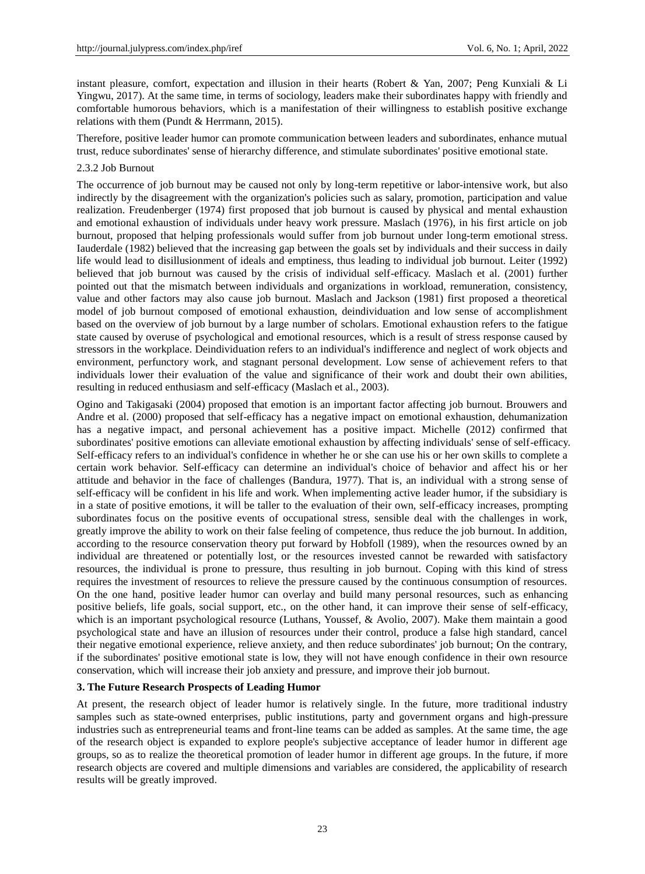instant pleasure, comfort, expectation and illusion in their hearts (Robert & Yan, 2007; Peng Kunxiali & Li Yingwu, 2017). At the same time, in terms of sociology, leaders make their subordinates happy with friendly and comfortable humorous behaviors, which is a manifestation of their willingness to establish positive exchange relations with them (Pundt & Herrmann, 2015).

Therefore, positive leader humor can promote communication between leaders and subordinates, enhance mutual trust, reduce subordinates' sense of hierarchy difference, and stimulate subordinates' positive emotional state.

#### 2.3.2 Job Burnout

The occurrence of job burnout may be caused not only by long-term repetitive or labor-intensive work, but also indirectly by the disagreement with the organization's policies such as salary, promotion, participation and value realization. Freudenberger (1974) first proposed that job burnout is caused by physical and mental exhaustion and emotional exhaustion of individuals under heavy work pressure. Maslach (1976), in his first article on job burnout, proposed that helping professionals would suffer from job burnout under long-term emotional stress. Iauderdale (1982) believed that the increasing gap between the goals set by individuals and their success in daily life would lead to disillusionment of ideals and emptiness, thus leading to individual job burnout. Leiter (1992) believed that job burnout was caused by the crisis of individual self-efficacy. Maslach et al. (2001) further pointed out that the mismatch between individuals and organizations in workload, remuneration, consistency, value and other factors may also cause job burnout. Maslach and Jackson (1981) first proposed a theoretical model of job burnout composed of emotional exhaustion, deindividuation and low sense of accomplishment based on the overview of job burnout by a large number of scholars. Emotional exhaustion refers to the fatigue state caused by overuse of psychological and emotional resources, which is a result of stress response caused by stressors in the workplace. Deindividuation refers to an individual's indifference and neglect of work objects and environment, perfunctory work, and stagnant personal development. Low sense of achievement refers to that individuals lower their evaluation of the value and significance of their work and doubt their own abilities, resulting in reduced enthusiasm and self-efficacy (Maslach et al., 2003).

Ogino and Takigasaki (2004) proposed that emotion is an important factor affecting job burnout. Brouwers and Andre et al. (2000) proposed that self-efficacy has a negative impact on emotional exhaustion, dehumanization has a negative impact, and personal achievement has a positive impact. Michelle (2012) confirmed that subordinates' positive emotions can alleviate emotional exhaustion by affecting individuals' sense of self-efficacy. Self-efficacy refers to an individual's confidence in whether he or she can use his or her own skills to complete a certain work behavior. Self-efficacy can determine an individual's choice of behavior and affect his or her attitude and behavior in the face of challenges (Bandura, 1977). That is, an individual with a strong sense of self-efficacy will be confident in his life and work. When implementing active leader humor, if the subsidiary is in a state of positive emotions, it will be taller to the evaluation of their own, self-efficacy increases, prompting subordinates focus on the positive events of occupational stress, sensible deal with the challenges in work, greatly improve the ability to work on their false feeling of competence, thus reduce the job burnout. In addition, according to the resource conservation theory put forward by Hobfoll (1989), when the resources owned by an individual are threatened or potentially lost, or the resources invested cannot be rewarded with satisfactory resources, the individual is prone to pressure, thus resulting in job burnout. Coping with this kind of stress requires the investment of resources to relieve the pressure caused by the continuous consumption of resources. On the one hand, positive leader humor can overlay and build many personal resources, such as enhancing positive beliefs, life goals, social support, etc., on the other hand, it can improve their sense of self-efficacy, which is an important psychological resource (Luthans, Youssef, & Avolio, 2007). Make them maintain a good psychological state and have an illusion of resources under their control, produce a false high standard, cancel their negative emotional experience, relieve anxiety, and then reduce subordinates' job burnout; On the contrary, if the subordinates' positive emotional state is low, they will not have enough confidence in their own resource conservation, which will increase their job anxiety and pressure, and improve their job burnout.

### **3. The Future Research Prospects of Leading Humor**

At present, the research object of leader humor is relatively single. In the future, more traditional industry samples such as state-owned enterprises, public institutions, party and government organs and high-pressure industries such as entrepreneurial teams and front-line teams can be added as samples. At the same time, the age of the research object is expanded to explore people's subjective acceptance of leader humor in different age groups, so as to realize the theoretical promotion of leader humor in different age groups. In the future, if more research objects are covered and multiple dimensions and variables are considered, the applicability of research results will be greatly improved.